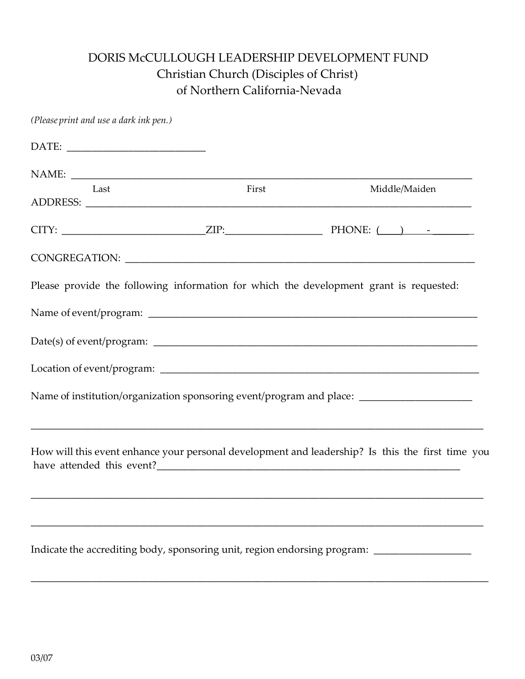## DORIS McCULLOUGH LEADERSHIP DEVELOPMENT FUND Christian Church (Disciples of Christ) of Northern California-Nevada

| (Please print and use a dark ink pen.) |       |                                                                                                      |
|----------------------------------------|-------|------------------------------------------------------------------------------------------------------|
|                                        |       |                                                                                                      |
|                                        |       |                                                                                                      |
| Last                                   | First | Middle/Maiden                                                                                        |
|                                        |       |                                                                                                      |
|                                        |       |                                                                                                      |
|                                        |       | Please provide the following information for which the development grant is requested:               |
|                                        |       |                                                                                                      |
|                                        |       |                                                                                                      |
|                                        |       |                                                                                                      |
|                                        |       | Name of institution/organization sponsoring event/program and place: _______________________________ |
|                                        |       |                                                                                                      |
|                                        |       | How will this event enhance your personal development and leadership? Is this the first time you     |
|                                        |       |                                                                                                      |
|                                        |       |                                                                                                      |
|                                        |       | Indicate the accrediting body, sponsoring unit, region endorsing program: _________________________  |

\_\_\_\_\_\_\_\_\_\_\_\_\_\_\_\_\_\_\_\_\_\_\_\_\_\_\_\_\_\_\_\_\_\_\_\_\_\_\_\_\_\_\_\_\_\_\_\_\_\_\_\_\_\_\_\_\_\_\_\_\_\_\_\_\_\_\_\_\_\_\_\_\_\_\_\_\_\_\_\_\_\_\_\_\_\_\_\_\_